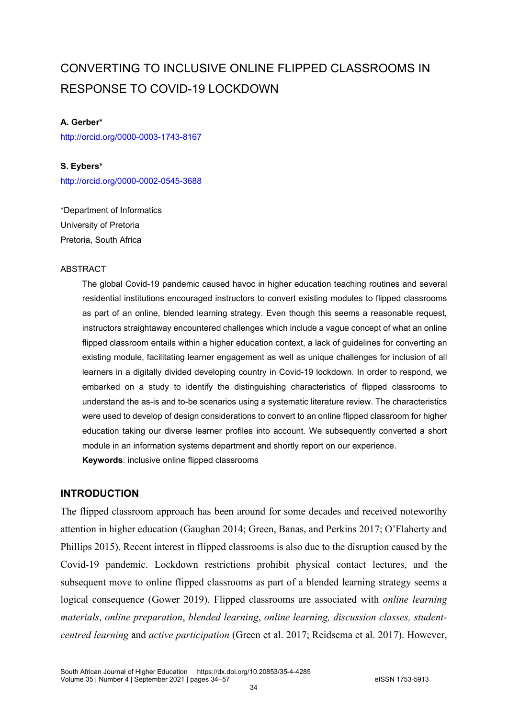# CONVERTING TO INCLUSIVE ONLINE FLIPPED CLASSROOMS IN RESPONSE TO COVID-19 LOCKDOWN

#### **A. Gerber\***

<http://orcid.org/0000-0003-1743-8167>

**S. Eybers\*** <http://orcid.org/0000-0002-0545-3688>

\*Department of Informatics University of Pretoria Pretoria, South Africa

#### ABSTRACT

The global Covid-19 pandemic caused havoc in higher education teaching routines and several residential institutions encouraged instructors to convert existing modules to flipped classrooms as part of an online, blended learning strategy. Even though this seems a reasonable request, instructors straightaway encountered challenges which include a vague concept of what an online flipped classroom entails within a higher education context, a lack of guidelines for converting an existing module, facilitating learner engagement as well as unique challenges for inclusion of all learners in a digitally divided developing country in Covid-19 lockdown. In order to respond, we embarked on a study to identify the distinguishing characteristics of flipped classrooms to understand the as-is and to-be scenarios using a systematic literature review. The characteristics were used to develop of design considerations to convert to an online flipped classroom for higher education taking our diverse learner profiles into account. We subsequently converted a short module in an information systems department and shortly report on our experience. **Keywords**: inclusive online flipped classrooms

#### **INTRODUCTION**

The flipped classroom approach has been around for some decades and received noteworthy attention in higher education (Gaughan 2014; Green, Banas, and Perkins 2017; O'Flaherty and Phillips 2015). Recent interest in flipped classrooms is also due to the disruption caused by the Covid-19 pandemic. Lockdown restrictions prohibit physical contact lectures, and the subsequent move to online flipped classrooms as part of a blended learning strategy seems a logical consequence (Gower 2019). Flipped classrooms are associated with *online learning materials*, *online preparation*, *blended learning*, *online learning, discussion classes, studentcentred learning* and *active participation* (Green et al. 2017; Reidsema et al. 2017). However,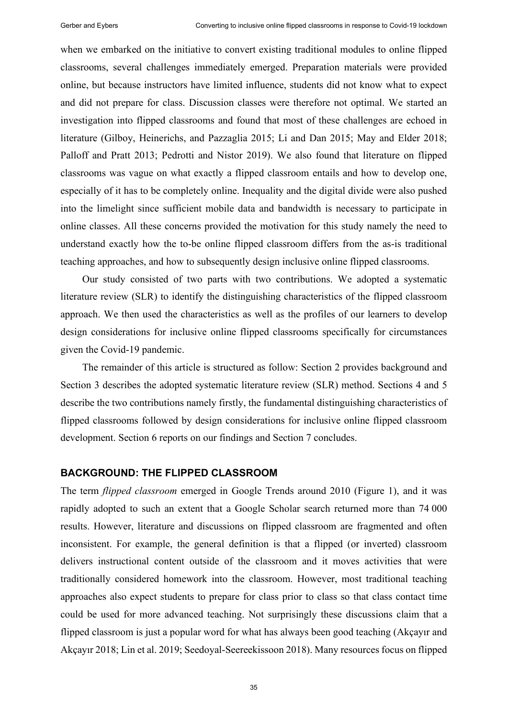when we embarked on the initiative to convert existing traditional modules to online flipped classrooms, several challenges immediately emerged. Preparation materials were provided online, but because instructors have limited influence, students did not know what to expect and did not prepare for class. Discussion classes were therefore not optimal. We started an investigation into flipped classrooms and found that most of these challenges are echoed in literature (Gilboy, Heinerichs, and Pazzaglia 2015; Li and Dan 2015; May and Elder 2018; Palloff and Pratt 2013; Pedrotti and Nistor 2019). We also found that literature on flipped classrooms was vague on what exactly a flipped classroom entails and how to develop one, especially of it has to be completely online. Inequality and the digital divide were also pushed into the limelight since sufficient mobile data and bandwidth is necessary to participate in online classes. All these concerns provided the motivation for this study namely the need to understand exactly how the to-be online flipped classroom differs from the as-is traditional teaching approaches, and how to subsequently design inclusive online flipped classrooms.

Our study consisted of two parts with two contributions. We adopted a systematic literature review (SLR) to identify the distinguishing characteristics of the flipped classroom approach. We then used the characteristics as well as the profiles of our learners to develop design considerations for inclusive online flipped classrooms specifically for circumstances given the Covid-19 pandemic.

The remainder of this article is structured as follow: Section 2 provides background and Section 3 describes the adopted systematic literature review (SLR) method. Sections 4 and 5 describe the two contributions namely firstly, the fundamental distinguishing characteristics of flipped classrooms followed by design considerations for inclusive online flipped classroom development. Section 6 reports on our findings and Section 7 concludes.

#### **BACKGROUND: THE FLIPPED CLASSROOM**

The term *flipped classroom* emerged in Google Trends around 2010 (Figure 1), and it was rapidly adopted to such an extent that a Google Scholar search returned more than 74 000 results. However, literature and discussions on flipped classroom are fragmented and often inconsistent. For example, the general definition is that a flipped (or inverted) classroom delivers instructional content outside of the classroom and it moves activities that were traditionally considered homework into the classroom. However, most traditional teaching approaches also expect students to prepare for class prior to class so that class contact time could be used for more advanced teaching. Not surprisingly these discussions claim that a flipped classroom is just a popular word for what has always been good teaching (Akçayır and Akçayır 2018; Lin et al. 2019; Seedoyal-Seereekissoon 2018). Many resources focus on flipped

35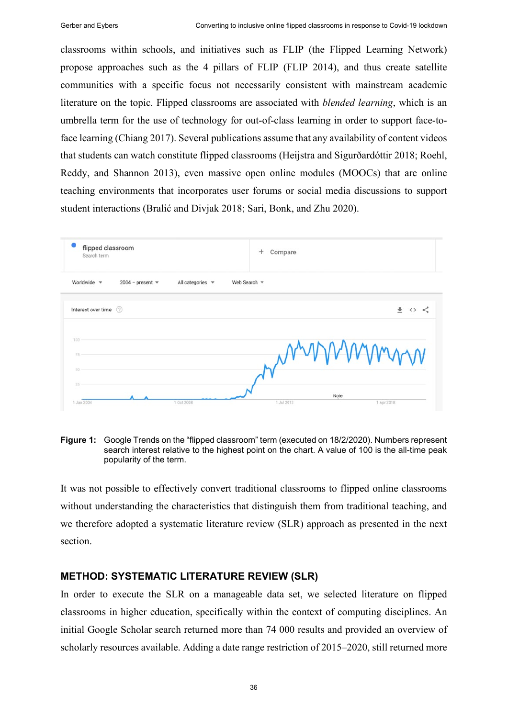classrooms within schools, and initiatives such as FLIP (the Flipped Learning Network) propose approaches such as the 4 pillars of FLIP (FLIP 2014), and thus create satellite communities with a specific focus not necessarily consistent with mainstream academic literature on the topic. Flipped classrooms are associated with *blended learning*, which is an umbrella term for the use of technology for out-of-class learning in order to support face-toface learning (Chiang 2017). Several publications assume that any availability of content videos that students can watch constitute flipped classrooms (Heijstra and Sigurðardóttir 2018; Roehl, Reddy, and Shannon 2013), even massive open online modules (MOOCs) that are online teaching environments that incorporates user forums or social media discussions to support student interactions (Bralić and Divjak 2018; Sari, Bonk, and Zhu 2020).



**Figure 1:** Google Trends on the "flipped classroom" term (executed on 18/2/2020). Numbers represent search interest relative to the highest point on the chart. A value of 100 is the all-time peak popularity of the term.

It was not possible to effectively convert traditional classrooms to flipped online classrooms without understanding the characteristics that distinguish them from traditional teaching, and we therefore adopted a systematic literature review (SLR) approach as presented in the next section.

#### **METHOD: SYSTEMATIC LITERATURE REVIEW (SLR)**

In order to execute the SLR on a manageable data set, we selected literature on flipped classrooms in higher education, specifically within the context of computing disciplines. An initial Google Scholar search returned more than 74 000 results and provided an overview of scholarly resources available. Adding a date range restriction of 2015–2020, still returned more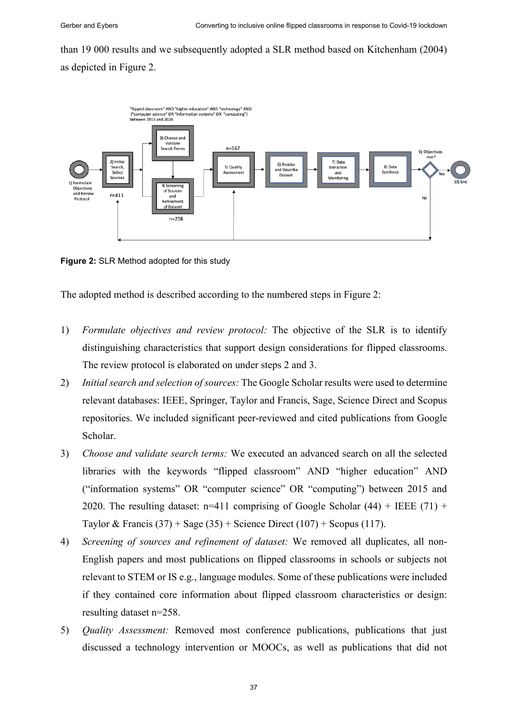than 19 000 results and we subsequently adopted a SLR method based on Kitchenham (2004) as depicted in Figure 2.



**Figure 2:** SLR Method adopted for this study

The adopted method is described according to the numbered steps in Figure 2:

- 1) *Formulate objectives and review protocol:* The objective of the SLR is to identify distinguishing characteristics that support design considerations for flipped classrooms. The review protocol is elaborated on under steps 2 and 3.
- 2) *Initial search and selection of sources:* The Google Scholar results were used to determine relevant databases: IEEE, Springer, Taylor and Francis, Sage, Science Direct and Scopus repositories. We included significant peer-reviewed and cited publications from Google Scholar.
- 3) *Choose and validate search terms:* We executed an advanced search on all the selected libraries with the keywords "flipped classroom" AND "higher education" AND ("information systems" OR "computer science" OR "computing") between 2015 and 2020. The resulting dataset:  $n=411$  comprising of Google Scholar (44) + IEEE (71) + Taylor & Francis  $(37)$  + Sage  $(35)$  + Science Direct  $(107)$  + Scopus  $(117)$ .
- 4) *Screening of sources and refinement of dataset:* We removed all duplicates, all non-English papers and most publications on flipped classrooms in schools or subjects not relevant to STEM or IS e.g., language modules. Some of these publications were included if they contained core information about flipped classroom characteristics or design: resulting dataset n=258.
- 5) *Quality Assessment:* Removed most conference publications, publications that just discussed a technology intervention or MOOCs, as well as publications that did not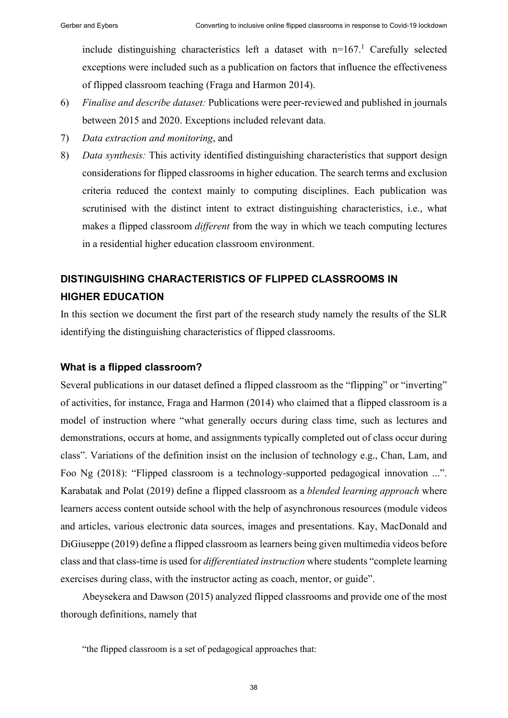include distinguishing characteristics left a dataset with  $n=167$ .<sup>1</sup> Carefully selected exceptions were included such as a publication on factors that influence the effectiveness of flipped classroom teaching (Fraga and Harmon 2014).

- 6) *Finalise and describe dataset:* Publications were peer-reviewed and published in journals between 2015 and 2020. Exceptions included relevant data.
- 7) *Data extraction and monitoring*, and
- 8) *Data synthesis:* This activity identified distinguishing characteristics that support design considerations for flipped classrooms in higher education. The search terms and exclusion criteria reduced the context mainly to computing disciplines. Each publication was scrutinised with the distinct intent to extract distinguishing characteristics, i.e., what makes a flipped classroom *different* from the way in which we teach computing lectures in a residential higher education classroom environment.

## **DISTINGUISHING CHARACTERISTICS OF FLIPPED CLASSROOMS IN HIGHER EDUCATION**

In this section we document the first part of the research study namely the results of the SLR identifying the distinguishing characteristics of flipped classrooms.

#### **What is a flipped classroom?**

Several publications in our dataset defined a flipped classroom as the "flipping" or "inverting" of activities, for instance, Fraga and Harmon (2014) who claimed that a flipped classroom is a model of instruction where "what generally occurs during class time, such as lectures and demonstrations, occurs at home, and assignments typically completed out of class occur during class". Variations of the definition insist on the inclusion of technology e.g., Chan, Lam, and Foo Ng (2018): "Flipped classroom is a technology-supported pedagogical innovation ...". Karabatak and Polat (2019) define a flipped classroom as a *blended learning approach* where learners access content outside school with the help of asynchronous resources (module videos and articles, various electronic data sources, images and presentations. Kay, MacDonald and DiGiuseppe (2019) define a flipped classroom as learners being given multimedia videos before class and that class-time is used for *differentiated instruction* where students "complete learning exercises during class, with the instructor acting as coach, mentor, or guide".

Abeysekera and Dawson (2015) analyzed flipped classrooms and provide one of the most thorough definitions, namely that

"the flipped classroom is a set of pedagogical approaches that: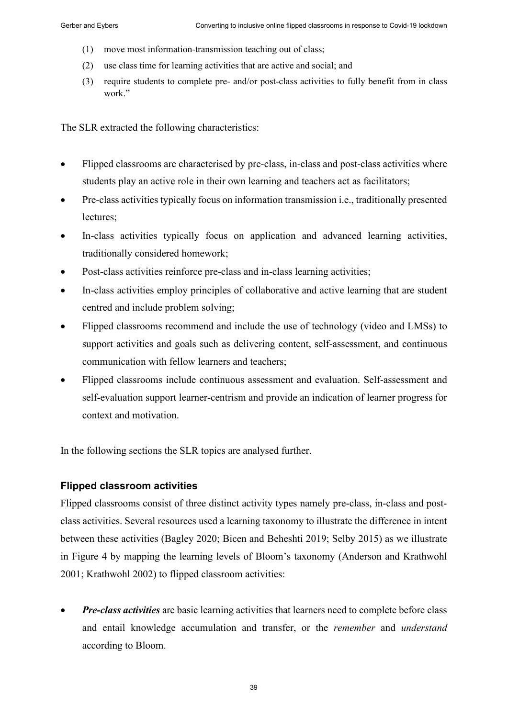- (1) move most information-transmission teaching out of class;
- (2) use class time for learning activities that are active and social; and
- (3) require students to complete pre- and/or post-class activities to fully benefit from in class work."

The SLR extracted the following characteristics:

- Flipped classrooms are characterised by pre-class, in-class and post-class activities where students play an active role in their own learning and teachers act as facilitators;
- Pre-class activities typically focus on information transmission i.e., traditionally presented lectures;
- In-class activities typically focus on application and advanced learning activities, traditionally considered homework;
- Post-class activities reinforce pre-class and in-class learning activities;
- In-class activities employ principles of collaborative and active learning that are student centred and include problem solving;
- Flipped classrooms recommend and include the use of technology (video and LMSs) to support activities and goals such as delivering content, self-assessment, and continuous communication with fellow learners and teachers;
- Flipped classrooms include continuous assessment and evaluation. Self-assessment and self-evaluation support learner-centrism and provide an indication of learner progress for context and motivation.

In the following sections the SLR topics are analysed further.

## **Flipped classroom activities**

Flipped classrooms consist of three distinct activity types namely pre-class, in-class and postclass activities. Several resources used a learning taxonomy to illustrate the difference in intent between these activities (Bagley 2020; Bicen and Beheshti 2019; Selby 2015) as we illustrate in Figure 4 by mapping the learning levels of Bloom's taxonomy (Anderson and Krathwohl 2001; Krathwohl 2002) to flipped classroom activities:

• *Pre-class activities* are basic learning activities that learners need to complete before class and entail knowledge accumulation and transfer, or the *remember* and *understand* according to Bloom.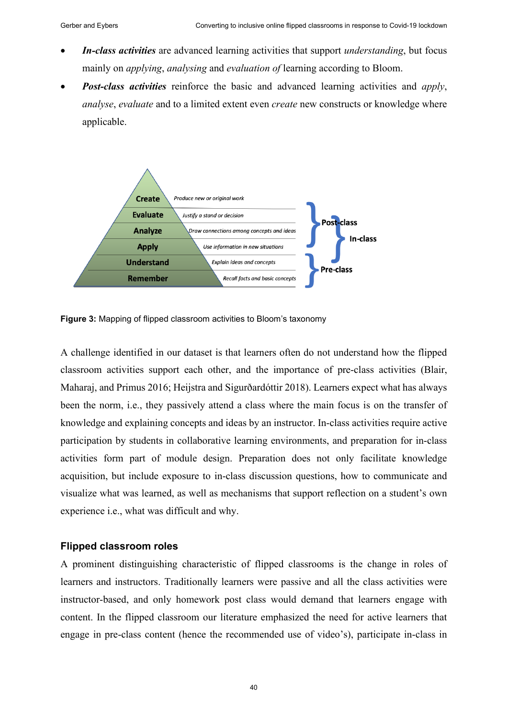- *In-class activities* are advanced learning activities that support *understanding*, but focus mainly on *applying*, *analysing* and *evaluation of* learning according to Bloom.
- *Post-class activities* reinforce the basic and advanced learning activities and *apply*, *analyse*, *evaluate* and to a limited extent even *create* new constructs or knowledge where applicable.



**Figure 3:** Mapping of flipped classroom activities to Bloom's taxonomy

A challenge identified in our dataset is that learners often do not understand how the flipped classroom activities support each other, and the importance of pre-class activities (Blair, Maharaj, and Primus 2016; Heijstra and Sigurðardóttir 2018). Learners expect what has always been the norm, i.e., they passively attend a class where the main focus is on the transfer of knowledge and explaining concepts and ideas by an instructor. In-class activities require active participation by students in collaborative learning environments, and preparation for in-class activities form part of module design. Preparation does not only facilitate knowledge acquisition, but include exposure to in-class discussion questions, how to communicate and visualize what was learned, as well as mechanisms that support reflection on a student's own experience i.e., what was difficult and why.

#### **Flipped classroom roles**

A prominent distinguishing characteristic of flipped classrooms is the change in roles of learners and instructors. Traditionally learners were passive and all the class activities were instructor-based, and only homework post class would demand that learners engage with content. In the flipped classroom our literature emphasized the need for active learners that engage in pre-class content (hence the recommended use of video's), participate in-class in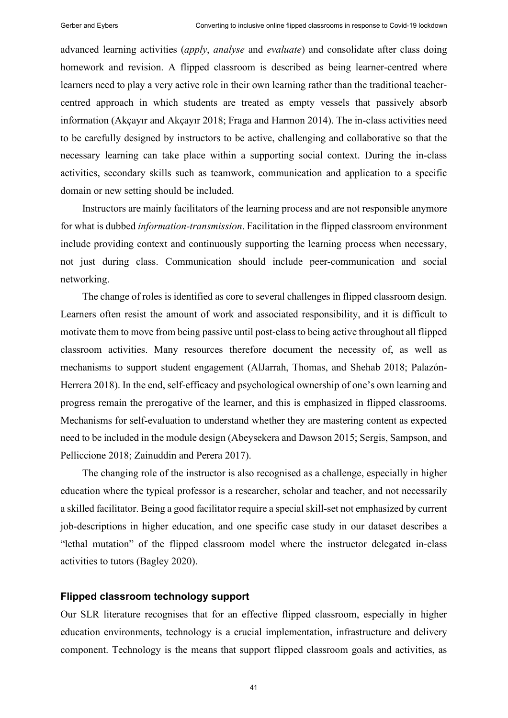advanced learning activities (*apply*, *analyse* and *evaluate*) and consolidate after class doing homework and revision. A flipped classroom is described as being learner-centred where learners need to play a very active role in their own learning rather than the traditional teachercentred approach in which students are treated as empty vessels that passively absorb information (Akçayır and Akçayır 2018; Fraga and Harmon 2014). The in-class activities need to be carefully designed by instructors to be active, challenging and collaborative so that the necessary learning can take place within a supporting social context. During the in-class activities, secondary skills such as teamwork, communication and application to a specific domain or new setting should be included.

Instructors are mainly facilitators of the learning process and are not responsible anymore for what is dubbed *information-transmission*. Facilitation in the flipped classroom environment include providing context and continuously supporting the learning process when necessary, not just during class. Communication should include peer-communication and social networking.

The change of roles is identified as core to several challenges in flipped classroom design. Learners often resist the amount of work and associated responsibility, and it is difficult to motivate them to move from being passive until post-class to being active throughout all flipped classroom activities. Many resources therefore document the necessity of, as well as mechanisms to support student engagement (AlJarrah, Thomas, and Shehab 2018; Palazón-Herrera 2018). In the end, self-efficacy and psychological ownership of one's own learning and progress remain the prerogative of the learner, and this is emphasized in flipped classrooms. Mechanisms for self-evaluation to understand whether they are mastering content as expected need to be included in the module design (Abeysekera and Dawson 2015; Sergis, Sampson, and Pelliccione 2018; Zainuddin and Perera 2017).

The changing role of the instructor is also recognised as a challenge, especially in higher education where the typical professor is a researcher, scholar and teacher, and not necessarily a skilled facilitator. Being a good facilitator require a special skill-set not emphasized by current job-descriptions in higher education, and one specific case study in our dataset describes a "lethal mutation" of the flipped classroom model where the instructor delegated in-class activities to tutors (Bagley 2020).

#### **Flipped classroom technology support**

Our SLR literature recognises that for an effective flipped classroom, especially in higher education environments, technology is a crucial implementation, infrastructure and delivery component. Technology is the means that support flipped classroom goals and activities, as

41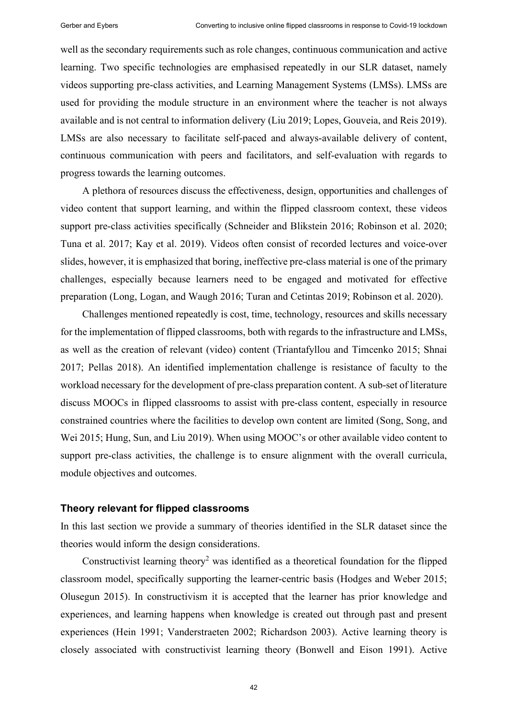well as the secondary requirements such as role changes, continuous communication and active learning. Two specific technologies are emphasised repeatedly in our SLR dataset, namely videos supporting pre-class activities, and Learning Management Systems (LMSs). LMSs are used for providing the module structure in an environment where the teacher is not always available and is not central to information delivery (Liu 2019; Lopes, Gouveia, and Reis 2019). LMSs are also necessary to facilitate self-paced and always-available delivery of content, continuous communication with peers and facilitators, and self-evaluation with regards to progress towards the learning outcomes.

A plethora of resources discuss the effectiveness, design, opportunities and challenges of video content that support learning, and within the flipped classroom context, these videos support pre-class activities specifically (Schneider and Blikstein 2016; Robinson et al. 2020; Tuna et al. 2017; Kay et al. 2019). Videos often consist of recorded lectures and voice-over slides, however, it is emphasized that boring, ineffective pre-class material is one of the primary challenges, especially because learners need to be engaged and motivated for effective preparation (Long, Logan, and Waugh 2016; Turan and Cetintas 2019; Robinson et al. 2020).

Challenges mentioned repeatedly is cost, time, technology, resources and skills necessary for the implementation of flipped classrooms, both with regards to the infrastructure and LMSs, as well as the creation of relevant (video) content (Triantafyllou and Timcenko 2015; Shnai 2017; Pellas 2018). An identified implementation challenge is resistance of faculty to the workload necessary for the development of pre-class preparation content. A sub-set of literature discuss MOOCs in flipped classrooms to assist with pre-class content, especially in resource constrained countries where the facilities to develop own content are limited (Song, Song, and Wei 2015; Hung, Sun, and Liu 2019). When using MOOC's or other available video content to support pre-class activities, the challenge is to ensure alignment with the overall curricula, module objectives and outcomes.

#### <span id="page-8-0"></span>**Theory relevant for flipped classrooms**

In this last section we provide a summary of theories identified in the SLR dataset since the theories would inform the design considerations.

Constructivist learning theory<sup>2</sup> was identified as a theoretical foundation for the flipped classroom model, specifically supporting the learner-centric basis (Hodges and Weber 2015; Olusegun 2015). In constructivism it is accepted that the learner has prior knowledge and experiences, and learning happens when knowledge is created out through past and present experiences (Hein 1991; Vanderstraeten 2002; Richardson 2003). Active learning theory is closely associated with constructivist learning theory (Bonwell and Eison 1991). Active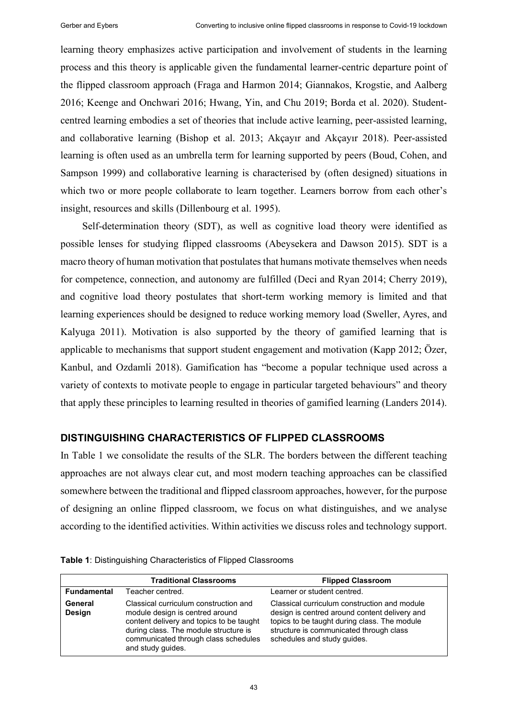learning theory emphasizes active participation and involvement of students in the learning process and this theory is applicable given the fundamental learner-centric departure point of the flipped classroom approach (Fraga and Harmon 2014; Giannakos, Krogstie, and Aalberg 2016; Keenge and Onchwari 2016; Hwang, Yin, and Chu 2019; Borda et al. 2020). Studentcentred learning embodies a set of theories that include active learning, peer-assisted learning, and collaborative learning (Bishop et al. 2013; Akçayır and Akçayır 2018). Peer-assisted learning is often used as an umbrella term for learning supported by peers (Boud, Cohen, and Sampson 1999) and collaborative learning is characterised by (often designed) situations in which two or more people collaborate to learn together. Learners borrow from each other's insight, resources and skills (Dillenbourg et al. 1995).

Self-determination theory (SDT), as well as cognitive load theory were identified as possible lenses for studying flipped classrooms (Abeysekera and Dawson 2015). SDT is a macro theory of human motivation that postulates that humans motivate themselves when needs for competence, connection, and autonomy are fulfilled (Deci and Ryan 2014; Cherry 2019), and cognitive load theory postulates that short-term working memory is limited and that learning experiences should be designed to reduce working memory load (Sweller, Ayres, and Kalyuga 2011). Motivation is also supported by the theory of gamified learning that is applicable to mechanisms that support student engagement and motivation (Kapp 2012; Özer, Kanbul, and Ozdamli 2018). Gamification has "become a popular technique used across a variety of contexts to motivate people to engage in particular targeted behaviours" and theory that apply these principles to learning resulted in theories of gamified learning (Landers 2014).

#### **DISTINGUISHING CHARACTERISTICS OF FLIPPED CLASSROOMS**

In Table 1 we consolidate the results of the SLR. The borders between the different teaching approaches are not always clear cut, and most modern teaching approaches can be classified somewhere between the traditional and flipped classroom approaches, however, for the purpose of designing an online flipped classroom, we focus on what distinguishes, and we analyse according to the identified activities. Within activities we discuss roles and technology support.

|                          | <b>Traditional Classrooms</b>                                                                                                                                                                                              | <b>Flipped Classroom</b>                                                                                                                                                                                                |
|--------------------------|----------------------------------------------------------------------------------------------------------------------------------------------------------------------------------------------------------------------------|-------------------------------------------------------------------------------------------------------------------------------------------------------------------------------------------------------------------------|
| <b>Fundamental</b>       | Teacher centred.                                                                                                                                                                                                           | Learner or student centred.                                                                                                                                                                                             |
| General<br><b>Design</b> | Classical curriculum construction and<br>module design is centred around<br>content delivery and topics to be taught<br>during class. The module structure is<br>communicated through class schedules<br>and study guides. | Classical curriculum construction and module<br>design is centred around content delivery and<br>topics to be taught during class. The module<br>structure is communicated through class<br>schedules and study guides. |

**Table 1**: Distinguishing Characteristics of Flipped Classrooms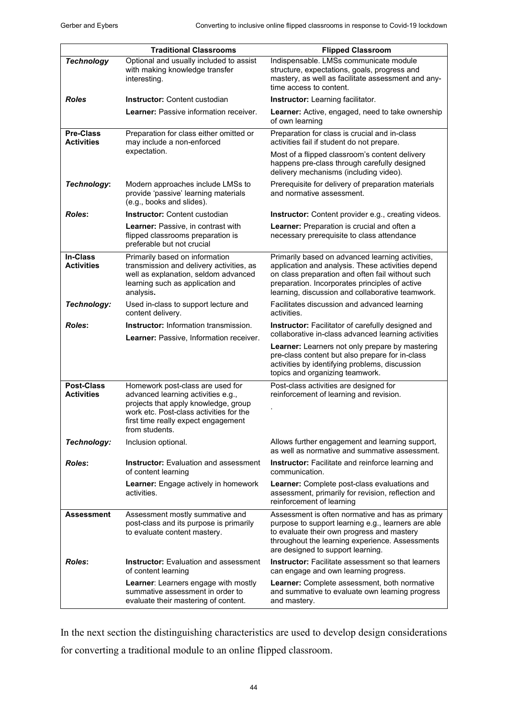|                                        | <b>Traditional Classrooms</b>                                                                                                                                                                                      | <b>Flipped Classroom</b>                                                                                                                                                                                                                                        |
|----------------------------------------|--------------------------------------------------------------------------------------------------------------------------------------------------------------------------------------------------------------------|-----------------------------------------------------------------------------------------------------------------------------------------------------------------------------------------------------------------------------------------------------------------|
| <b>Technology</b>                      | Optional and usually included to assist<br>with making knowledge transfer<br>interesting.                                                                                                                          | Indispensable. LMSs communicate module<br>structure, expectations, goals, progress and<br>mastery, as well as facilitate assessment and any-<br>time access to content.                                                                                         |
| <b>Roles</b>                           | <b>Instructor: Content custodian</b>                                                                                                                                                                               | Instructor: Learning facilitator.                                                                                                                                                                                                                               |
|                                        | Learner: Passive information receiver.                                                                                                                                                                             | Learner: Active, engaged, need to take ownership<br>of own learning                                                                                                                                                                                             |
| <b>Pre-Class</b><br><b>Activities</b>  | Preparation for class either omitted or<br>may include a non-enforced                                                                                                                                              | Preparation for class is crucial and in-class<br>activities fail if student do not prepare.                                                                                                                                                                     |
|                                        | expectation.                                                                                                                                                                                                       | Most of a flipped classroom's content delivery<br>happens pre-class through carefully designed<br>delivery mechanisms (including video).                                                                                                                        |
| Technology:                            | Modern approaches include LMSs to<br>provide 'passive' learning materials<br>(e.g., books and slides).                                                                                                             | Prerequisite for delivery of preparation materials<br>and normative assessment.                                                                                                                                                                                 |
| <b>Roles:</b>                          | <b>Instructor:</b> Content custodian                                                                                                                                                                               | <b>Instructor:</b> Content provider e.g., creating videos.                                                                                                                                                                                                      |
|                                        | Learner: Passive, in contrast with<br>flipped classrooms preparation is<br>preferable but not crucial                                                                                                              | Learner: Preparation is crucial and often a<br>necessary prerequisite to class attendance                                                                                                                                                                       |
| <b>In-Class</b><br><b>Activities</b>   | Primarily based on information<br>transmission and delivery activities, as<br>well as explanation, seldom advanced<br>learning such as application and<br>analysis.                                                | Primarily based on advanced learning activities,<br>application and analysis. These activities depend<br>on class preparation and often fail without such<br>preparation. Incorporates principles of active<br>learning, discussion and collaborative teamwork. |
| Technology:                            | Used in-class to support lecture and<br>content delivery.                                                                                                                                                          | Facilitates discussion and advanced learning<br>activities.                                                                                                                                                                                                     |
| <b>Roles:</b>                          | <b>Instructor:</b> Information transmission.<br>Learner: Passive, Information receiver.                                                                                                                            | Instructor: Facilitator of carefully designed and<br>collaborative in-class advanced learning activities                                                                                                                                                        |
|                                        |                                                                                                                                                                                                                    | <b>Learner:</b> Learners not only prepare by mastering<br>pre-class content but also prepare for in-class<br>activities by identifying problems, discussion<br>topics and organizing teamwork.                                                                  |
| <b>Post-Class</b><br><b>Activities</b> | Homework post-class are used for<br>advanced learning activities e.g.,<br>projects that apply knowledge, group<br>work etc. Post-class activities for the<br>first time really expect engagement<br>from students. | Post-class activities are designed for<br>reinforcement of learning and revision.                                                                                                                                                                               |
| Technology:                            | Inclusion optional.                                                                                                                                                                                                | Allows further engagement and learning support,<br>as well as normative and summative assessment.                                                                                                                                                               |
| <b>Roles:</b>                          | Instructor: Evaluation and assessment<br>of content learning                                                                                                                                                       | <b>Instructor:</b> Facilitate and reinforce learning and<br>communication.                                                                                                                                                                                      |
|                                        | <b>Learner:</b> Engage actively in homework<br>activities.                                                                                                                                                         | <b>Learner:</b> Complete post-class evaluations and<br>assessment, primarily for revision, reflection and<br>reinforcement of learning                                                                                                                          |
| <b>Assessment</b>                      | Assessment mostly summative and<br>post-class and its purpose is primarily<br>to evaluate content mastery.                                                                                                         | Assessment is often normative and has as primary<br>purpose to support learning e.g., learners are able<br>to evaluate their own progress and mastery<br>throughout the learning experience. Assessments<br>are designed to support learning.                   |
| <b>Roles:</b>                          | <b>Instructor:</b> Evaluation and assessment<br>of content learning                                                                                                                                                | <b>Instructor:</b> Facilitate assessment so that learners<br>can engage and own learning progress.                                                                                                                                                              |
|                                        | Learner: Learners engage with mostly<br>summative assessment in order to<br>evaluate their mastering of content.                                                                                                   | <b>Learner:</b> Complete assessment, both normative<br>and summative to evaluate own learning progress<br>and mastery.                                                                                                                                          |

In the next section the distinguishing characteristics are used to develop design considerations for converting a traditional module to an online flipped classroom.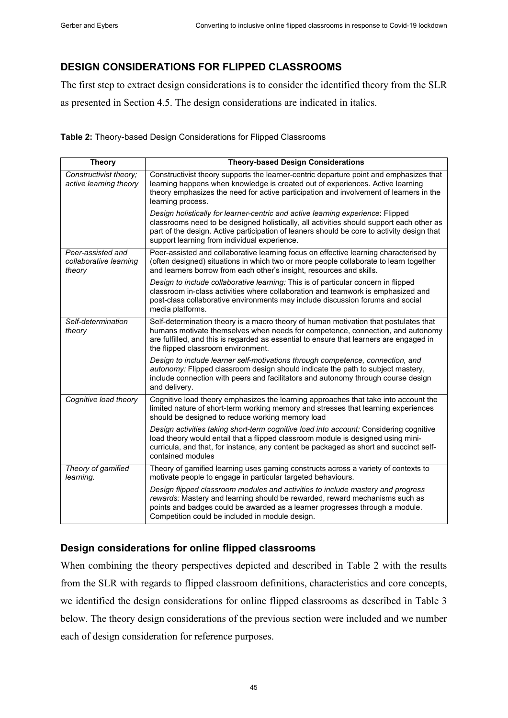## **DESIGN CONSIDERATIONS FOR FLIPPED CLASSROOMS**

The first step to extract design considerations is to consider the identified theory from the SLR as presented in Section [4.5.](#page-8-0) The design considerations are indicated in italics.

**Table 2:** Theory-based Design Considerations for Flipped Classrooms

| <b>Theory</b>                                         | <b>Theory-based Design Considerations</b>                                                                                                                                                                                                                                                                                 |
|-------------------------------------------------------|---------------------------------------------------------------------------------------------------------------------------------------------------------------------------------------------------------------------------------------------------------------------------------------------------------------------------|
| Constructivist theory;<br>active learning theory      | Constructivist theory supports the learner-centric departure point and emphasizes that<br>learning happens when knowledge is created out of experiences. Active learning<br>theory emphasizes the need for active participation and involvement of learners in the<br>learning process.                                   |
|                                                       | Design holistically for learner-centric and active learning experience: Flipped<br>classrooms need to be designed holistically, all activities should support each other as<br>part of the design. Active participation of leaners should be core to activity design that<br>support learning from individual experience. |
| Peer-assisted and<br>collaborative learning<br>theory | Peer-assisted and collaborative learning focus on effective learning characterised by<br>(often designed) situations in which two or more people collaborate to learn together<br>and learners borrow from each other's insight, resources and skills.                                                                    |
|                                                       | Design to include collaborative learning: This is of particular concern in flipped<br>classroom in-class activities where collaboration and teamwork is emphasized and<br>post-class collaborative environments may include discussion forums and social<br>media platforms.                                              |
| Self-determination<br>theory                          | Self-determination theory is a macro theory of human motivation that postulates that<br>humans motivate themselves when needs for competence, connection, and autonomy<br>are fulfilled, and this is regarded as essential to ensure that learners are engaged in<br>the flipped classroom environment.                   |
|                                                       | Design to include learner self-motivations through competence, connection, and<br>autonomy: Flipped classroom design should indicate the path to subject mastery,<br>include connection with peers and facilitators and autonomy through course design<br>and delivery.                                                   |
| Cognitive load theory                                 | Cognitive load theory emphasizes the learning approaches that take into account the<br>limited nature of short-term working memory and stresses that learning experiences<br>should be designed to reduce working memory load                                                                                             |
|                                                       | Design activities taking short-term cognitive load into account: Considering cognitive<br>load theory would entail that a flipped classroom module is designed using mini-<br>curricula, and that, for instance, any content be packaged as short and succinct self-<br>contained modules                                 |
| Theory of gamified<br>learning.                       | Theory of gamified learning uses gaming constructs across a variety of contexts to<br>motivate people to engage in particular targeted behaviours.                                                                                                                                                                        |
|                                                       | Design flipped classroom modules and activities to include mastery and progress<br>rewards: Mastery and learning should be rewarded, reward mechanisms such as<br>points and badges could be awarded as a learner progresses through a module.<br>Competition could be included in module design.                         |

### **Design considerations for online flipped classrooms**

When combining the theory perspectives depicted and described in Table 2 with the results from the SLR with regards to flipped classroom definitions, characteristics and core concepts, we identified the design considerations for online flipped classrooms as described in Table 3 below. The theory design considerations of the previous section were included and we number each of design consideration for reference purposes.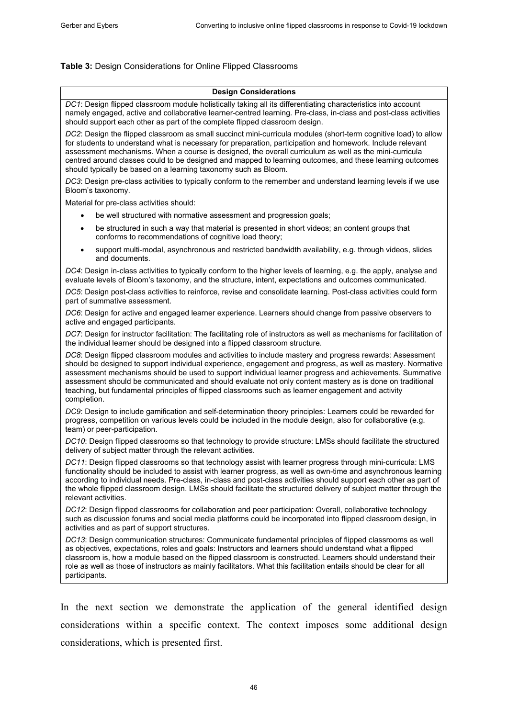#### **Table 3:** Design Considerations for Online Flipped Classrooms

#### **Design Considerations** *DC1*: Design flipped classroom module holistically taking all its differentiating characteristics into account namely engaged, active and collaborative learner-centred learning. Pre-class, in-class and post-class activities should support each other as part of the complete flipped classroom design. *DC2*: Design the flipped classroom as small succinct mini-curricula modules (short-term cognitive load) to allow for students to understand what is necessary for preparation, participation and homework. Include relevant assessment mechanisms. When a course is designed, the overall curriculum as well as the mini-curricula centred around classes could to be designed and mapped to learning outcomes, and these learning outcomes should typically be based on a learning taxonomy such as Bloom. *DC3*: Design pre-class activities to typically conform to the remember and understand learning levels if we use Bloom's taxonomy. Material for pre-class activities should: be well structured with normative assessment and progression goals; • be structured in such a way that material is presented in short videos; an content groups that conforms to recommendations of cognitive load theory; • support multi-modal, asynchronous and restricted bandwidth availability, e.g. through videos, slides and documents. *DC4*: Design in-class activities to typically conform to the higher levels of learning, e.g. the apply, analyse and evaluate levels of Bloom's taxonomy, and the structure, intent, expectations and outcomes communicated. *DC5*: Design post-class activities to reinforce, revise and consolidate learning. Post-class activities could form part of summative assessment. *DC6*: Design for active and engaged learner experience. Learners should change from passive observers to active and engaged participants. *DC7*: Design for instructor facilitation: The facilitating role of instructors as well as mechanisms for facilitation of the individual learner should be designed into a flipped classroom structure. *DC8*: Design flipped classroom modules and activities to include mastery and progress rewards: Assessment should be designed to support individual experience, engagement and progress, as well as mastery. Normative assessment mechanisms should be used to support individual learner progress and achievements. Summative assessment should be communicated and should evaluate not only content mastery as is done on traditional teaching, but fundamental principles of flipped classrooms such as learner engagement and activity completion. *DC9*: Design to include gamification and self-determination theory principles: Learners could be rewarded for progress, competition on various levels could be included in the module design, also for collaborative (e.g. team) or peer-participation. *DC10*: Design flipped classrooms so that technology to provide structure: LMSs should facilitate the structured delivery of subject matter through the relevant activities. *DC11*: Design flipped classrooms so that technology assist with learner progress through mini-curricula: LMS functionality should be included to assist with learner progress, as well as own-time and asynchronous learning according to individual needs. Pre-class, in-class and post-class activities should support each other as part of the whole flipped classroom design. LMSs should facilitate the structured delivery of subject matter through the relevant activities. *DC12*: Design flipped classrooms for collaboration and peer participation: Overall, collaborative technology such as discussion forums and social media platforms could be incorporated into flipped classroom design, in activities and as part of support structures. *DC13*: Design communication structures: Communicate fundamental principles of flipped classrooms as well as objectives, expectations, roles and goals: Instructors and learners should understand what a flipped classroom is, how a module based on the flipped classroom is constructed. Learners should understand their role as well as those of instructors as mainly facilitators. What this facilitation entails should be clear for all participants.

In the next section we demonstrate the application of the general identified design considerations within a specific context. The context imposes some additional design considerations, which is presented first.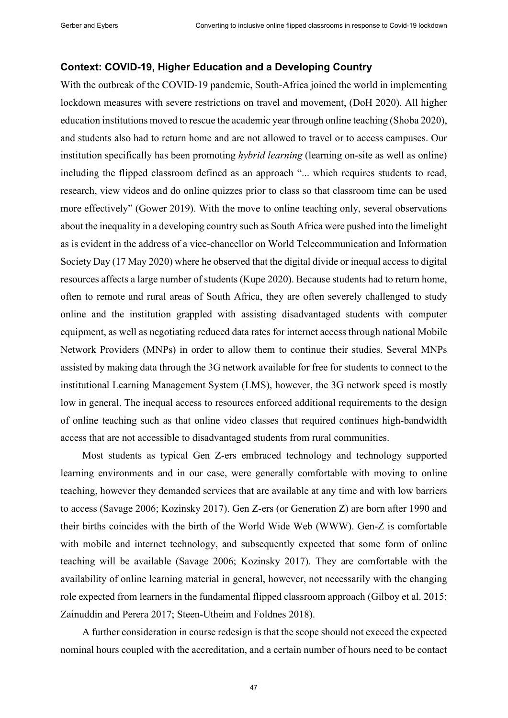#### **Context: COVID-19, Higher Education and a Developing Country**

With the outbreak of the COVID-19 pandemic, South-Africa joined the world in implementing lockdown measures with severe restrictions on travel and movement, (DoH 2020). All higher education institutions moved to rescue the academic year through online teaching (Shoba 2020), and students also had to return home and are not allowed to travel or to access campuses. Our institution specifically has been promoting *hybrid learning* (learning on-site as well as online) including the flipped classroom defined as an approach "... which requires students to read, research, view videos and do online quizzes prior to class so that classroom time can be used more effectively" (Gower 2019). With the move to online teaching only, several observations about the inequality in a developing country such as South Africa were pushed into the limelight as is evident in the address of a vice-chancellor on World Telecommunication and Information Society Day (17 May 2020) where he observed that the digital divide or inequal access to digital resources affects a large number of students (Kupe 2020). Because students had to return home, often to remote and rural areas of South Africa, they are often severely challenged to study online and the institution grappled with assisting disadvantaged students with computer equipment, as well as negotiating reduced data rates for internet access through national Mobile Network Providers (MNPs) in order to allow them to continue their studies. Several MNPs assisted by making data through the 3G network available for free for students to connect to the institutional Learning Management System (LMS), however, the 3G network speed is mostly low in general. The inequal access to resources enforced additional requirements to the design of online teaching such as that online video classes that required continues high-bandwidth access that are not accessible to disadvantaged students from rural communities.

Most students as typical Gen Z-ers embraced technology and technology supported learning environments and in our case, were generally comfortable with moving to online teaching, however they demanded services that are available at any time and with low barriers to access (Savage 2006; Kozinsky 2017). Gen Z-ers (or Generation Z) are born after 1990 and their births coincides with the birth of the World Wide Web (WWW). Gen-Z is comfortable with mobile and internet technology, and subsequently expected that some form of online teaching will be available (Savage 2006; Kozinsky 2017). They are comfortable with the availability of online learning material in general, however, not necessarily with the changing role expected from learners in the fundamental flipped classroom approach (Gilboy et al. 2015; Zainuddin and Perera 2017; Steen-Utheim and Foldnes 2018).

A further consideration in course redesign is that the scope should not exceed the expected nominal hours coupled with the accreditation, and a certain number of hours need to be contact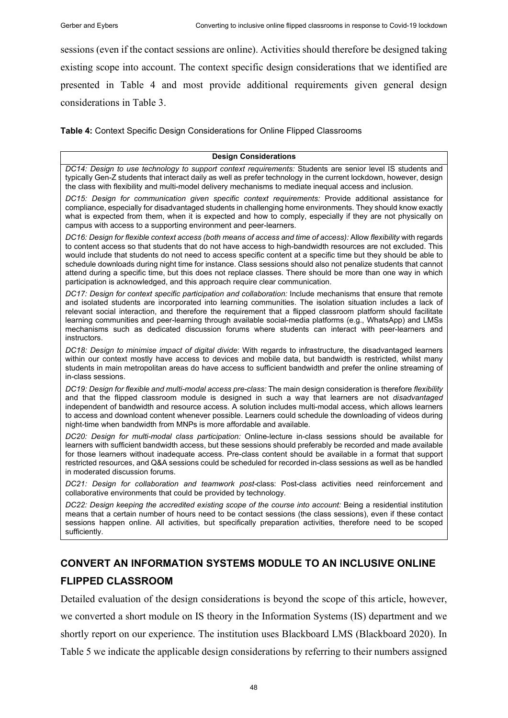sessions (even if the contact sessions are online). Activities should therefore be designed taking existing scope into account. The context specific design considerations that we identified are presented in Table 4 and most provide additional requirements given general design considerations in Table 3.

**Table 4:** Context Specific Design Considerations for Online Flipped Classrooms

#### **Design Considerations**

*DC14: Design to use technology to support context requirements:* Students are senior level IS students and typically Gen-Z students that interact daily as well as prefer technology in the current lockdown, however, design the class with flexibility and multi-model delivery mechanisms to mediate inequal access and inclusion.

*DC15: Design for communication given specific context requirements:* Provide additional assistance for compliance, especially for disadvantaged students in challenging home environments. They should know exactly what is expected from them, when it is expected and how to comply, especially if they are not physically on campus with access to a supporting environment and peer-learners.

*DC16: Design for flexible context access (both means of access and time of access):* Allow *flexibility* with regards to content access so that students that do not have access to high-bandwidth resources are not excluded. This would include that students do not need to access specific content at a specific time but they should be able to schedule downloads during night time for instance. Class sessions should also not penalize students that cannot attend during a specific time, but this does not replace classes. There should be more than one way in which participation is acknowledged, and this approach require clear communication.

*DC17: Design for context specific participation and collaboration:* Include mechanisms that ensure that remote and isolated students are incorporated into learning communities. The isolation situation includes a lack of relevant social interaction, and therefore the requirement that a flipped classroom platform should facilitate learning communities and peer-learning through available social-media platforms (e.g., WhatsApp) and LMSs mechanisms such as dedicated discussion forums where students can interact with peer-learners and instructors.

*DC18: Design to minimise impact of digital divide*: With regards to infrastructure, the disadvantaged learners within our context mostly have access to devices and mobile data, but bandwidth is restricted, whilst many students in main metropolitan areas do have access to sufficient bandwidth and prefer the online streaming of in-class sessions.

*DC19: Design for flexible and multi-modal access pre-class:* The main design consideration is therefore *flexibility* and that the flipped classroom module is designed in such a way that learners are not *disadvantaged* independent of bandwidth and resource access. A solution includes multi-modal access, which allows learners to access and download content whenever possible. Learners could schedule the downloading of videos during night-time when bandwidth from MNPs is more affordable and available.

*DC20: Design for multi-modal class participation:* Online-lecture in-class sessions should be available for learners with sufficient bandwidth access, but these sessions should preferably be recorded and made available for those learners without inadequate access. Pre-class content should be available in a format that support restricted resources, and Q&A sessions could be scheduled for recorded in-class sessions as well as be handled in moderated discussion forums.

*DC21: Design for collaboration and teamwork post-*class: Post-class activities need reinforcement and collaborative environments that could be provided by technology*.*

*DC22: Design keeping the accredited existing scope of the course into account:* Being a residential institution means that a certain number of hours need to be contact sessions (the class sessions), even if these contact sessions happen online. All activities, but specifically preparation activities, therefore need to be scoped sufficiently.

## **CONVERT AN INFORMATION SYSTEMS MODULE TO AN INCLUSIVE ONLINE FLIPPED CLASSROOM**

Detailed evaluation of the design considerations is beyond the scope of this article, however, we converted a short module on IS theory in the Information Systems (IS) department and we shortly report on our experience. The institution uses Blackboard LMS (Blackboard 2020). In Table 5 we indicate the applicable design considerations by referring to their numbers assigned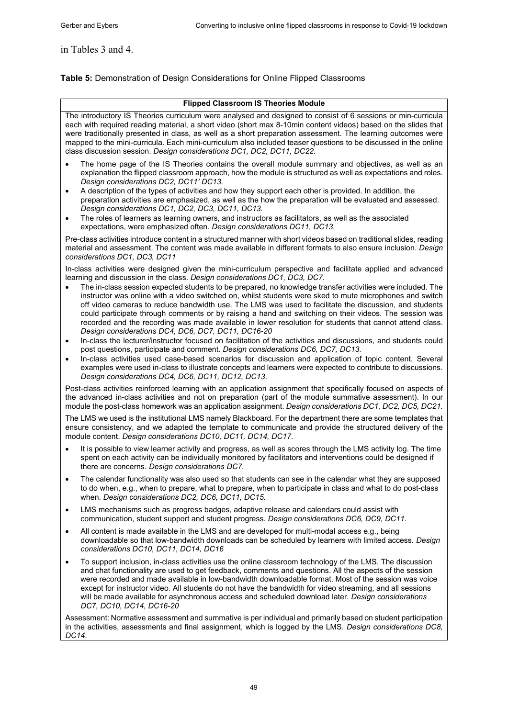#### in Tables 3 and 4.

#### **Table 5:** Demonstration of Design Considerations for Online Flipped Classrooms

#### **Flipped Classroom IS Theories Module**

The introductory IS Theories curriculum were analysed and designed to consist of 6 sessions or min-curricula each with required reading material, a short video (short max 8-10min content videos) based on the slides that were traditionally presented in class, as well as a short preparation assessment. The learning outcomes were mapped to the mini-curricula. Each mini-curriculum also included teaser questions to be discussed in the online class discussion session. *Design considerations DC1, DC2, DC11, DC22.*

- The home page of the IS Theories contains the overall module summary and objectives, as well as an explanation the flipped classroom approach, how the module is structured as well as expectations and roles. *Design considerations DC2, DC11' DC13.*
- A description of the types of activities and how they support each other is provided. In addition, the preparation activities are emphasized, as well as the how the preparation will be evaluated and assessed. *Design considerations DC1, DC2, DC3, DC11, DC13.*
- The roles of learners as learning owners, and instructors as facilitators, as well as the associated expectations, were emphasized often. *Design considerations DC11, DC13.*

Pre-class activities introduce content in a structured manner with short videos based on traditional slides, reading material and assessment. The content was made available in different formats to also ensure inclusion. *Design considerations DC1, DC3, DC11*

In-class activities were designed given the mini-curriculum perspective and facilitate applied and advanced learning and discussion in the class. *Design considerations DC1, DC3, DC7.*

- The in-class session expected students to be prepared, no knowledge transfer activities were included. The instructor was online with a video switched on, whilst students were sked to mute microphones and switch off video cameras to reduce bandwidth use. The LMS was used to facilitate the discussion, and students could participate through comments or by raising a hand and switching on their videos. The session was recorded and the recording was made available in lower resolution for students that cannot attend class. *Design considerations DC4, DC6, DC7, DC11, DC16-20*
- In-class the lecturer/instructor focused on facilitation of the activities and discussions, and students could post questions, participate and comment. *Design considerations DC6, DC7, DC13.*
- In-class activities used case-based scenarios for discussion and application of topic content. Several examples were used in-class to illustrate concepts and learners were expected to contribute to discussions. *Design considerations DC4, DC6, DC11, DC12, DC13*.

Post-class activities reinforced learning with an application assignment that specifically focused on aspects of the advanced in-class activities and not on preparation (part of the module summative assessment). In our module the post-class homework was an application assignment. *Design considerations DC1, DC2, DC5, DC21.*

The LMS we used is the institutional LMS namely Blackboard. For the department there are some templates that ensure consistency, and we adapted the template to communicate and provide the structured delivery of the module content. *Design considerations DC10, DC11, DC14, DC17*.

- It is possible to view learner activity and progress, as well as scores through the LMS activity log. The time spent on each activity can be individually monitored by facilitators and interventions could be designed if there are concerns. *Design considerations DC7.*
- The calendar functionality was also used so that students can see in the calendar what they are supposed to do when, e.g., when to prepare, what to prepare, when to participate in class and what to do post-class when. *Design considerations DC2, DC6, DC11, DC15.*
- LMS mechanisms such as progress badges, adaptive release and calendars could assist with communication, student support and student progress*. Design considerations DC6, DC9, DC11.*
- All content is made available in the LMS and are developed for multi-modal access e.g., being downloadable so that low-bandwidth downloads can be scheduled by learners with limited access*. Design considerations DC10, DC11, DC14, DC16*
- To support inclusion, in-class activities use the online classroom technology of the LMS. The discussion and chat functionality are used to get feedback, comments and questions. All the aspects of the session were recorded and made available in low-bandwidth downloadable format. Most of the session was voice except for instructor video. All students do not have the bandwidth for video streaming, and all sessions will be made available for asynchronous access and scheduled download later*. Design considerations DC7, DC10, DC14, DC16-20*

Assessment: Normative assessment and summative is per individual and primarily based on student participation in the activities, assessments and final assignment, which is logged by the LMS. *Design considerations DC8, DC14*.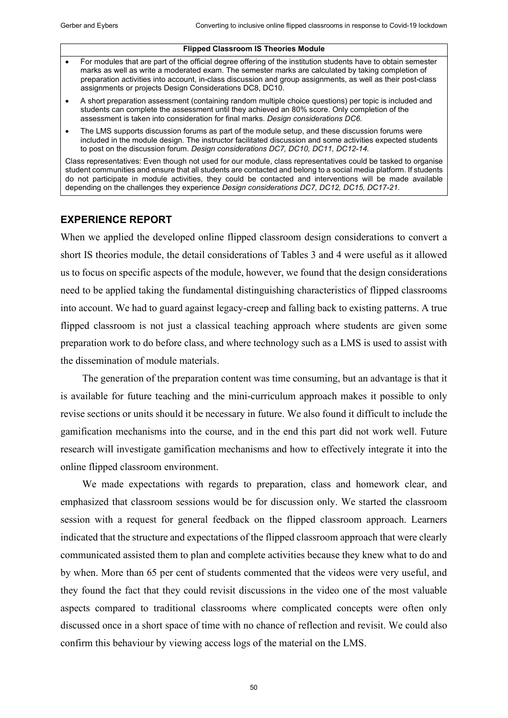#### **Flipped Classroom IS Theories Module**

- For modules that are part of the official degree offering of the institution students have to obtain semester marks as well as write a moderated exam. The semester marks are calculated by taking completion of preparation activities into account, in-class discussion and group assignments, as well as their post-class assignments or projects Design Considerations DC8, DC10.
- A short preparation assessment (containing random multiple choice questions) per topic is included and students can complete the assessment until they achieved an 80% score. Only completion of the assessment is taken into consideration for final marks. *Design considerations DC6.*
- The LMS supports discussion forums as part of the module setup, and these discussion forums were included in the module design. The instructor facilitated discussion and some activities expected students to post on the discussion forum. *Design considerations DC7, DC10, DC11, DC12-14.*

Class representatives: Even though not used for our module, class representatives could be tasked to organise student communities and ensure that all students are contacted and belong to a social media platform. If students do not participate in module activities, they could be contacted and interventions will be made available depending on the challenges they experience *Design considerations DC7, DC12, DC15, DC17-21.*

### **EXPERIENCE REPORT**

When we applied the developed online flipped classroom design considerations to convert a short IS theories module, the detail considerations of Tables 3 and 4 were useful as it allowed us to focus on specific aspects of the module, however, we found that the design considerations need to be applied taking the fundamental distinguishing characteristics of flipped classrooms into account. We had to guard against legacy-creep and falling back to existing patterns. A true flipped classroom is not just a classical teaching approach where students are given some preparation work to do before class, and where technology such as a LMS is used to assist with the dissemination of module materials.

The generation of the preparation content was time consuming, but an advantage is that it is available for future teaching and the mini-curriculum approach makes it possible to only revise sections or units should it be necessary in future. We also found it difficult to include the gamification mechanisms into the course, and in the end this part did not work well. Future research will investigate gamification mechanisms and how to effectively integrate it into the online flipped classroom environment.

We made expectations with regards to preparation, class and homework clear, and emphasized that classroom sessions would be for discussion only. We started the classroom session with a request for general feedback on the flipped classroom approach. Learners indicated that the structure and expectations of the flipped classroom approach that were clearly communicated assisted them to plan and complete activities because they knew what to do and by when. More than 65 per cent of students commented that the videos were very useful, and they found the fact that they could revisit discussions in the video one of the most valuable aspects compared to traditional classrooms where complicated concepts were often only discussed once in a short space of time with no chance of reflection and revisit. We could also confirm this behaviour by viewing access logs of the material on the LMS.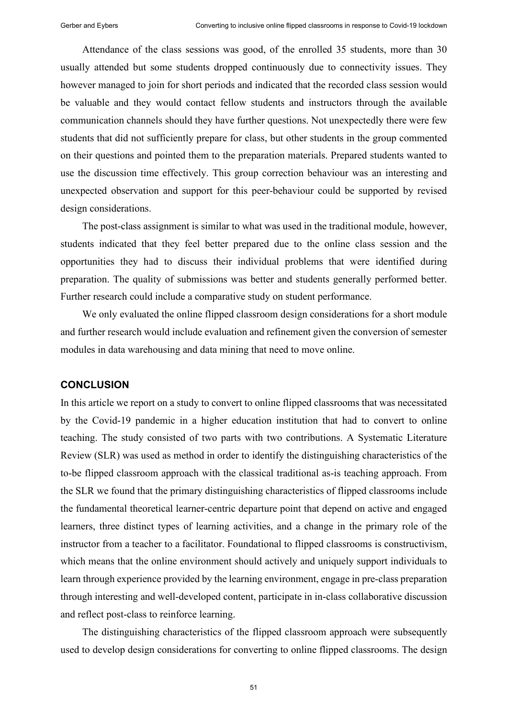Attendance of the class sessions was good, of the enrolled 35 students, more than 30 usually attended but some students dropped continuously due to connectivity issues. They however managed to join for short periods and indicated that the recorded class session would be valuable and they would contact fellow students and instructors through the available communication channels should they have further questions. Not unexpectedly there were few students that did not sufficiently prepare for class, but other students in the group commented on their questions and pointed them to the preparation materials. Prepared students wanted to use the discussion time effectively. This group correction behaviour was an interesting and unexpected observation and support for this peer-behaviour could be supported by revised design considerations.

The post-class assignment is similar to what was used in the traditional module, however, students indicated that they feel better prepared due to the online class session and the opportunities they had to discuss their individual problems that were identified during preparation. The quality of submissions was better and students generally performed better. Further research could include a comparative study on student performance.

We only evaluated the online flipped classroom design considerations for a short module and further research would include evaluation and refinement given the conversion of semester modules in data warehousing and data mining that need to move online.

#### **CONCLUSION**

In this article we report on a study to convert to online flipped classrooms that was necessitated by the Covid-19 pandemic in a higher education institution that had to convert to online teaching. The study consisted of two parts with two contributions. A Systematic Literature Review (SLR) was used as method in order to identify the distinguishing characteristics of the to-be flipped classroom approach with the classical traditional as-is teaching approach. From the SLR we found that the primary distinguishing characteristics of flipped classrooms include the fundamental theoretical learner-centric departure point that depend on active and engaged learners, three distinct types of learning activities, and a change in the primary role of the instructor from a teacher to a facilitator. Foundational to flipped classrooms is constructivism, which means that the online environment should actively and uniquely support individuals to learn through experience provided by the learning environment, engage in pre-class preparation through interesting and well-developed content, participate in in-class collaborative discussion and reflect post-class to reinforce learning.

The distinguishing characteristics of the flipped classroom approach were subsequently used to develop design considerations for converting to online flipped classrooms. The design

51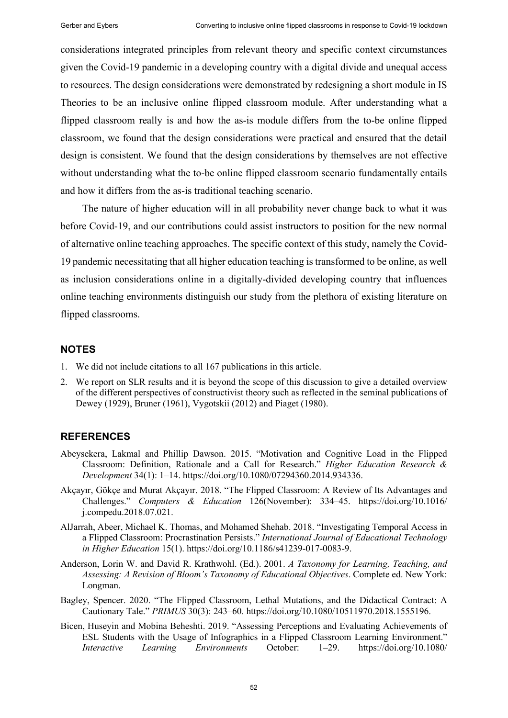considerations integrated principles from relevant theory and specific context circumstances given the Covid-19 pandemic in a developing country with a digital divide and unequal access to resources. The design considerations were demonstrated by redesigning a short module in IS Theories to be an inclusive online flipped classroom module. After understanding what a flipped classroom really is and how the as-is module differs from the to-be online flipped classroom, we found that the design considerations were practical and ensured that the detail design is consistent. We found that the design considerations by themselves are not effective without understanding what the to-be online flipped classroom scenario fundamentally entails and how it differs from the as-is traditional teaching scenario.

The nature of higher education will in all probability never change back to what it was before Covid-19, and our contributions could assist instructors to position for the new normal of alternative online teaching approaches. The specific context of this study, namely the Covid-19 pandemic necessitating that all higher education teaching is transformed to be online, as well as inclusion considerations online in a digitally-divided developing country that influences online teaching environments distinguish our study from the plethora of existing literature on flipped classrooms.

#### **NOTES**

- 1. We did not include citations to all 167 publications in this article.
- 2. We report on SLR results and it is beyond the scope of this discussion to give a detailed overview of the different perspectives of constructivist theory such as reflected in the seminal publications of Dewey (1929), Bruner (1961), Vygotskii (2012) and Piaget (1980).

#### **REFERENCES**

- Abeysekera, Lakmal and Phillip Dawson. 2015. "Motivation and Cognitive Load in the Flipped Classroom: Definition, Rationale and a Call for Research." *Higher Education Research & Development* 34(1): 1–14. https://doi.org/10.1080/07294360.2014.934336.
- Akçayır, Gökçe and Murat Akçayır. 2018. "The Flipped Classroom: A Review of Its Advantages and Challenges." *Computers & Education* 126(November): 334–45. https://doi.org/10.1016/ j.compedu.2018.07.021.
- AlJarrah, Abeer, Michael K. Thomas, and Mohamed Shehab. 2018. "Investigating Temporal Access in a Flipped Classroom: Procrastination Persists." *International Journal of Educational Technology in Higher Education* 15(1). https://doi.org/10.1186/s41239-017-0083-9.
- Anderson, Lorin W. and David R. Krathwohl. (Ed.). 2001. *A Taxonomy for Learning, Teaching, and Assessing: A Revision of Bloom's Taxonomy of Educational Objectives*. Complete ed. New York: Longman.
- Bagley, Spencer. 2020. "The Flipped Classroom, Lethal Mutations, and the Didactical Contract: A Cautionary Tale." *PRIMUS* 30(3): 243–60. https://doi.org/10.1080/10511970.2018.1555196.
- Bicen, Huseyin and Mobina Beheshti. 2019. "Assessing Perceptions and Evaluating Achievements of ESL Students with the Usage of Infographics in a Flipped Classroom Learning Environment." *Interactive Learning Environments* October: 1–29. https://doi.org/10.1080/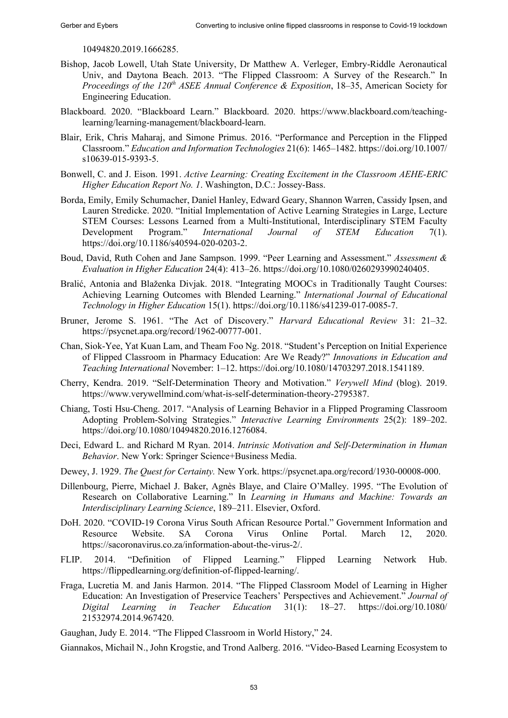10494820.2019.1666285.

- Bishop, Jacob Lowell, Utah State University, Dr Matthew A. Verleger, Embry-Riddle Aeronautical Univ, and Daytona Beach. 2013. "The Flipped Classroom: A Survey of the Research." In *Proceedings of the 120th ASEE Annual Conference & Exposition*, 18‒35, American Society for Engineering Education.
- Blackboard. 2020. "Blackboard Learn." Blackboard. 2020. https://www.blackboard.com/teachinglearning/learning-management/blackboard-learn.
- Blair, Erik, Chris Maharaj, and Simone Primus. 2016. "Performance and Perception in the Flipped Classroom." *Education and Information Technologies* 21(6): 1465–1482. https://doi.org/10.1007/ s10639-015-9393-5.
- Bonwell, C. and J. Eison. 1991. *Active Learning: Creating Excitement in the Classroom AEHE-ERIC Higher Education Report No. 1*. Washington, D.C.: Jossey-Bass.
- Borda, Emily, Emily Schumacher, Daniel Hanley, Edward Geary, Shannon Warren, Cassidy Ipsen, and Lauren Stredicke. 2020. "Initial Implementation of Active Learning Strategies in Large, Lecture STEM Courses: Lessons Learned from a Multi-Institutional, Interdisciplinary STEM Faculty<br>Development Program." *International Journal of STEM Education* 7(1). Development Program." *International Journal of STEM Education* 7(1). https://doi.org/10.1186/s40594-020-0203-2.
- Boud, David, Ruth Cohen and Jane Sampson. 1999. "Peer Learning and Assessment." *Assessment & Evaluation in Higher Education* 24(4): 413–26. https://doi.org/10.1080/0260293990240405.
- Bralić, Antonia and Blaženka Divjak. 2018. "Integrating MOOCs in Traditionally Taught Courses: Achieving Learning Outcomes with Blended Learning." *International Journal of Educational Technology in Higher Education* 15(1). https://doi.org/10.1186/s41239-017-0085-7.
- Bruner, Jerome S. 1961. "The Act of Discovery." *Harvard Educational Review* 31: 21–32. https://psycnet.apa.org/record/1962-00777-001.
- Chan, Siok-Yee, Yat Kuan Lam, and Theam Foo Ng. 2018. "Student's Perception on Initial Experience of Flipped Classroom in Pharmacy Education: Are We Ready?" *Innovations in Education and Teaching International* November: 1–12. https://doi.org/10.1080/14703297.2018.1541189.
- Cherry, Kendra. 2019. "Self-Determination Theory and Motivation." *Verywell Mind* (blog). 2019. https://www.verywellmind.com/what-is-self-determination-theory-2795387.
- Chiang, Tosti Hsu-Cheng. 2017. "Analysis of Learning Behavior in a Flipped Programing Classroom Adopting Problem-Solving Strategies." *Interactive Learning Environments* 25(2): 189–202. https://doi.org/10.1080/10494820.2016.1276084.
- Deci, Edward L. and Richard M Ryan. 2014. *Intrinsic Motivation and Self-Determination in Human Behavior*. New York: Springer Science+Business Media.
- Dewey, J. 1929. *The Quest for Certainty.* New York. https://psycnet.apa.org/record/1930-00008-000.
- Dillenbourg, Pierre, Michael J. Baker, Agnès Blaye, and Claire O'Malley. 1995. "The Evolution of Research on Collaborative Learning." In *Learning in Humans and Machine: Towards an Interdisciplinary Learning Science*, 189–211. Elsevier, Oxford.
- DoH. 2020. "COVID-19 Corona Virus South African Resource Portal." Government Information and Resource Website. SA Corona Virus Online Portal. March 12, 2020. https://sacoronavirus.co.za/information-about-the-virus-2/.
- FLIP. 2014. "Definition of Flipped Learning." Flipped Learning Network Hub. https://flippedlearning.org/definition-of-flipped-learning/.
- Fraga, Lucretia M. and Janis Harmon. 2014. "The Flipped Classroom Model of Learning in Higher Education: An Investigation of Preservice Teachers' Perspectives and Achievement." *Journal of Digital Learning in Teacher Education* 31(1): 18–27. https://doi.org/10.1080/ 21532974.2014.967420.

Gaughan, Judy E. 2014. "The Flipped Classroom in World History," 24.

Giannakos, Michail N., John Krogstie, and Trond Aalberg. 2016. "Video-Based Learning Ecosystem to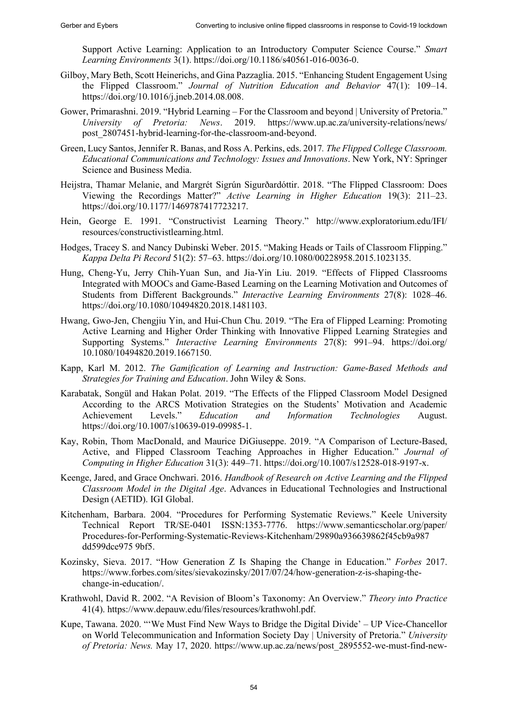Support Active Learning: Application to an Introductory Computer Science Course." *Smart Learning Environments* 3(1). https://doi.org/10.1186/s40561-016-0036-0.

- Gilboy, Mary Beth, Scott Heinerichs, and Gina Pazzaglia. 2015. "Enhancing Student Engagement Using the Flipped Classroom." *Journal of Nutrition Education and Behavior* 47(1): 109–14. https://doi.org/10.1016/j.jneb.2014.08.008.
- Gower, Primarashni. 2019. "Hybrid Learning For the Classroom and beyond | University of Pretoria." *University of Pretoria: News*. 2019. https://www.up.ac.za/university-relations/news/ post\_2807451-hybrid-learning-for-the-classroom-and-beyond.
- Green, Lucy Santos, Jennifer R. Banas, and Ross A. Perkins, eds. 2017*. The Flipped College Classroom. Educational Communications and Technology: Issues and Innovations*. New York, NY: Springer Science and Business Media.
- Heijstra, Thamar Melanie, and Margrét Sigrún Sigurðardóttir. 2018. "The Flipped Classroom: Does Viewing the Recordings Matter?" *Active Learning in Higher Education* 19(3): 211–23. https://doi.org/10.1177/1469787417723217.
- Hein, George E. 1991. "Constructivist Learning Theory." http://www.exploratorium.edu/IFI/ resources/constructivistlearning.html.
- Hodges, Tracey S. and Nancy Dubinski Weber. 2015. "Making Heads or Tails of Classroom Flipping." *Kappa Delta Pi Record* 51(2): 57–63. https://doi.org/10.1080/00228958.2015.1023135.
- Hung, Cheng-Yu, Jerry Chih-Yuan Sun, and Jia-Yin Liu. 2019. "Effects of Flipped Classrooms Integrated with MOOCs and Game-Based Learning on the Learning Motivation and Outcomes of Students from Different Backgrounds." *Interactive Learning Environments* 27(8): 1028–46. https://doi.org/10.1080/10494820.2018.1481103.
- Hwang, Gwo-Jen, Chengjiu Yin, and Hui-Chun Chu. 2019. "The Era of Flipped Learning: Promoting Active Learning and Higher Order Thinking with Innovative Flipped Learning Strategies and Supporting Systems." *Interactive Learning Environments* 27(8): 991–94. https://doi.org/ 10.1080/10494820.2019.1667150.
- Kapp, Karl M. 2012. *The Gamification of Learning and Instruction: Game-Based Methods and Strategies for Training and Education*. John Wiley & Sons.
- Karabatak, Songül and Hakan Polat. 2019. "The Effects of the Flipped Classroom Model Designed According to the ARCS Motivation Strategies on the Students' Motivation and Academic<br>Achievement Levels." Education and Information Technologies August. Achievement Levels." *Education and Information Technologies* August. https://doi.org/10.1007/s10639-019-09985-1.
- Kay, Robin, Thom MacDonald, and Maurice DiGiuseppe. 2019. "A Comparison of Lecture-Based, Active, and Flipped Classroom Teaching Approaches in Higher Education." *Journal of Computing in Higher Education* 31(3): 449–71. https://doi.org/10.1007/s12528-018-9197-x.
- Keenge, Jared, and Grace Onchwari. 2016. *Handbook of Research on Active Learning and the Flipped Classroom Model in the Digital Age*. Advances in Educational Technologies and Instructional Design (AETID). IGI Global.
- Kitchenham, Barbara. 2004. "Procedures for Performing Systematic Reviews." Keele University Technical Report TR/SE-0401 ISSN:1353-7776. https://www.semanticscholar.org/paper/ Procedures-for-Performing-Systematic-Reviews-Kitchenham/29890a936639862f45cb9a987 dd599dce975 9bf5.
- Kozinsky, Sieva. 2017. "How Generation Z Is Shaping the Change in Education." *Forbes* 2017. https://www.forbes.com/sites/sievakozinsky/2017/07/24/how-generation-z-is-shaping-thechange-in-education/.
- Krathwohl, David R. 2002. "A Revision of Bloom's Taxonomy: An Overview." *Theory into Practice* 41(4). https://www.depauw.edu/files/resources/krathwohl.pdf.
- Kupe, Tawana. 2020. "'We Must Find New Ways to Bridge the Digital Divide' UP Vice-Chancellor on World Telecommunication and Information Society Day | University of Pretoria." *University of Pretoria: News.* May 17, 2020. https://www.up.ac.za/news/post\_2895552-we-must-find-new-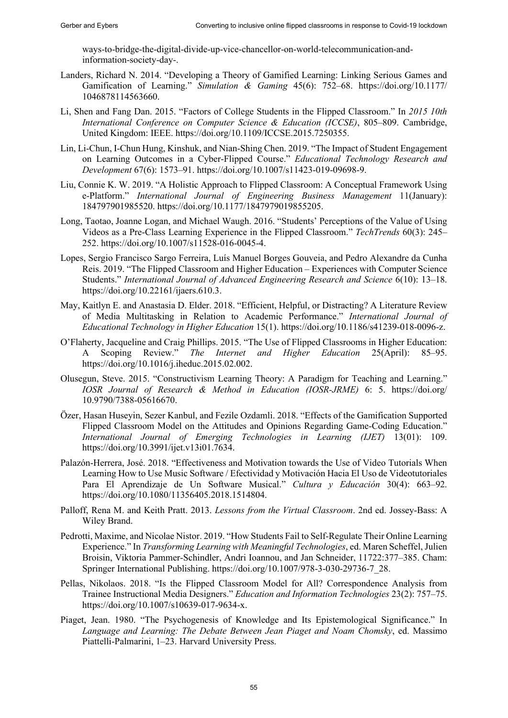ways-to-bridge-the-digital-divide-up-vice-chancellor-on-world-telecommunication-andinformation-society-day-.

- Landers, Richard N. 2014. "Developing a Theory of Gamified Learning: Linking Serious Games and Gamification of Learning." *Simulation & Gaming* 45(6): 752–68. https://doi.org/10.1177/ 1046878114563660.
- Li, Shen and Fang Dan. 2015. "Factors of College Students in the Flipped Classroom." In *2015 10th International Conference on Computer Science & Education (ICCSE)*, 805–809. Cambridge, United Kingdom: IEEE. https://doi.org/10.1109/ICCSE.2015.7250355.
- Lin, Li-Chun, I-Chun Hung, Kinshuk, and Nian-Shing Chen. 2019. "The Impact of Student Engagement on Learning Outcomes in a Cyber-Flipped Course." *Educational Technology Research and Development* 67(6): 1573–91. https://doi.org/10.1007/s11423-019-09698-9.
- Liu, Connie K. W. 2019. "A Holistic Approach to Flipped Classroom: A Conceptual Framework Using e-Platform." *International Journal of Engineering Business Management* 11(January): 184797901985520. https://doi.org/10.1177/1847979019855205.
- Long, Taotao, Joanne Logan, and Michael Waugh. 2016. "Students' Perceptions of the Value of Using Videos as a Pre-Class Learning Experience in the Flipped Classroom." *TechTrends* 60(3): 245– 252. https://doi.org/10.1007/s11528-016-0045-4.
- Lopes, Sergio Francisco Sargo Ferreira, Luís Manuel Borges Gouveia, and Pedro Alexandre da Cunha Reis. 2019. "The Flipped Classroom and Higher Education – Experiences with Computer Science Students." *International Journal of Advanced Engineering Research and Science* 6(10): 13–18. https://doi.org/10.22161/ijaers.610.3.
- May, Kaitlyn E. and Anastasia D. Elder. 2018. "Efficient, Helpful, or Distracting? A Literature Review of Media Multitasking in Relation to Academic Performance." *International Journal of Educational Technology in Higher Education* 15(1). https://doi.org/10.1186/s41239-018-0096-z.
- O'Flaherty, Jacqueline and Craig Phillips. 2015. "The Use of Flipped Classrooms in Higher Education: A Scoping Review." *The Internet and Higher Education* 25(April): 85–95. https://doi.org/10.1016/j.iheduc.2015.02.002.
- Olusegun, Steve. 2015. "Constructivism Learning Theory: A Paradigm for Teaching and Learning." *IOSR Journal of Research & Method in Education (IOSR-JRME)* 6: 5. https://doi.org/ 10.9790/7388-05616670.
- Özer, Hasan Huseyin, Sezer Kanbul, and Fezile Ozdamli. 2018. "Effects of the Gamification Supported Flipped Classroom Model on the Attitudes and Opinions Regarding Game-Coding Education." *International Journal of Emerging Technologies in Learning (IJET)* 13(01): 109. https://doi.org/10.3991/ijet.v13i01.7634.
- Palazón-Herrera, José. 2018. "Effectiveness and Motivation towards the Use of Video Tutorials When Learning How to Use Music Software / Efectividad y Motivación Hacia El Uso de Videotutoriales Para El Aprendizaje de Un Software Musical." *Cultura y Educación* 30(4): 663–92. https://doi.org/10.1080/11356405.2018.1514804.
- Palloff, Rena M. and Keith Pratt. 2013. *Lessons from the Virtual Classroom*. 2nd ed. Jossey-Bass: A Wiley Brand.
- Pedrotti, Maxime, and Nicolae Nistor. 2019. "How Students Fail to Self-Regulate Their Online Learning Experience." In *Transforming Learning with Meaningful Technologies*, ed. Maren Scheffel, Julien Broisin, Viktoria Pammer-Schindler, Andri Ioannou, and Jan Schneider, 11722:377–385. Cham: Springer International Publishing. https://doi.org/10.1007/978-3-030-29736-7\_28.
- Pellas, Nikolaos. 2018. "Is the Flipped Classroom Model for All? Correspondence Analysis from Trainee Instructional Media Designers." *Education and Information Technologies* 23(2): 757–75. https://doi.org/10.1007/s10639-017-9634-x.
- Piaget, Jean. 1980. "The Psychogenesis of Knowledge and Its Epistemological Significance." In *Language and Learning: The Debate Between Jean Piaget and Noam Chomsky*, ed. Massimo Piattelli-Palmarini, 1–23. Harvard University Press.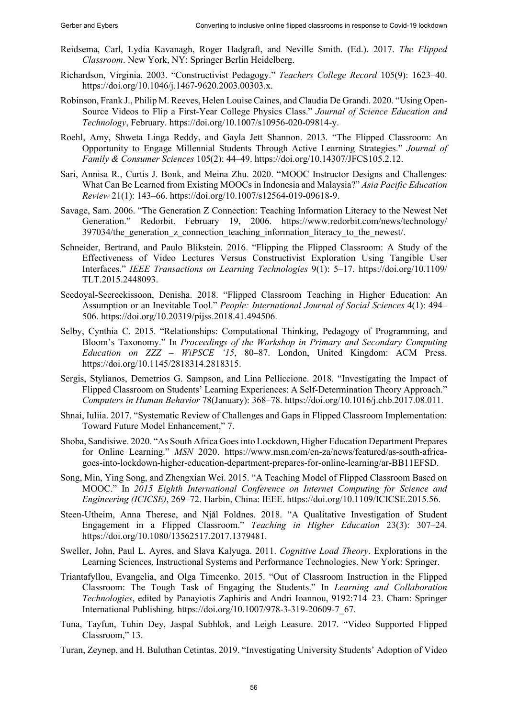- Reidsema, Carl, Lydia Kavanagh, Roger Hadgraft, and Neville Smith. (Ed.). 2017. *The Flipped Classroom*. New York, NY: Springer Berlin Heidelberg.
- Richardson, Virginia. 2003. "Constructivist Pedagogy." *Teachers College Record* 105(9): 1623–40. https://doi.org/10.1046/j.1467-9620.2003.00303.x.
- Robinson, Frank J., Philip M. Reeves, Helen Louise Caines, and Claudia De Grandi. 2020. "Using Open-Source Videos to Flip a First-Year College Physics Class." *Journal of Science Education and Technology*, February. https://doi.org/10.1007/s10956-020-09814-y.
- Roehl, Amy, Shweta Linga Reddy, and Gayla Jett Shannon. 2013. "The Flipped Classroom: An Opportunity to Engage Millennial Students Through Active Learning Strategies." *Journal of Family & Consumer Sciences* 105(2): 44–49. https://doi.org/10.14307/JFCS105.2.12.
- Sari, Annisa R., Curtis J. Bonk, and Meina Zhu. 2020. "MOOC Instructor Designs and Challenges: What Can Be Learned from Existing MOOCs in Indonesia and Malaysia?" *Asia Pacific Education Review* 21(1): 143–66. https://doi.org/10.1007/s12564-019-09618-9.
- Savage, Sam. 2006. "The Generation Z Connection: Teaching Information Literacy to the Newest Net Generation." Redorbit. February 19, 2006. https://www.redorbit.com/news/technology/ 397034/the generation z connection teaching information literacy to the newest.
- Schneider, Bertrand, and Paulo Blikstein. 2016. "Flipping the Flipped Classroom: A Study of the Effectiveness of Video Lectures Versus Constructivist Exploration Using Tangible User Interfaces." *IEEE Transactions on Learning Technologies* 9(1): 5–17. https://doi.org/10.1109/ TLT.2015.2448093.
- Seedoyal-Seereekissoon, Denisha. 2018. "Flipped Classroom Teaching in Higher Education: An Assumption or an Inevitable Tool." *People: International Journal of Social Sciences* 4(1): 494– 506. https://doi.org/10.20319/pijss.2018.41.494506.
- Selby, Cynthia C. 2015. "Relationships: Computational Thinking, Pedagogy of Programming, and Bloom's Taxonomy." In *Proceedings of the Workshop in Primary and Secondary Computing Education on ZZZ ‒ WiPSCE '15*, 80–87. London, United Kingdom: ACM Press. https://doi.org/10.1145/2818314.2818315.
- Sergis, Stylianos, Demetrios G. Sampson, and Lina Pelliccione. 2018. "Investigating the Impact of Flipped Classroom on Students' Learning Experiences: A Self-Determination Theory Approach." *Computers in Human Behavior* 78(January): 368–78. https://doi.org/10.1016/j.chb.2017.08.011.
- Shnai, Iuliia. 2017. "Systematic Review of Challenges and Gaps in Flipped Classroom Implementation: Toward Future Model Enhancement," 7.
- Shoba, Sandisiwe. 2020. "As South Africa Goes into Lockdown, Higher Education Department Prepares for Online Learning." *MSN* 2020. https://www.msn.com/en-za/news/featured/as-south-africagoes-into-lockdown-higher-education-department-prepares-for-online-learning/ar-BB11EFSD.
- Song, Min, Ying Song, and Zhengxian Wei. 2015. "A Teaching Model of Flipped Classroom Based on MOOC." In *2015 Eighth International Conference on Internet Computing for Science and Engineering (ICICSE)*, 269–72. Harbin, China: IEEE. https://doi.org/10.1109/ICICSE.2015.56.
- Steen-Utheim, Anna Therese, and Njål Foldnes. 2018. "A Qualitative Investigation of Student Engagement in a Flipped Classroom." *Teaching in Higher Education* 23(3): 307–24. https://doi.org/10.1080/13562517.2017.1379481.
- Sweller, John, Paul L. Ayres, and Slava Kalyuga. 2011. *Cognitive Load Theory*. Explorations in the Learning Sciences, Instructional Systems and Performance Technologies. New York: Springer.
- Triantafyllou, Evangelia, and Olga Timcenko. 2015. "Out of Classroom Instruction in the Flipped Classroom: The Tough Task of Engaging the Students." In *Learning and Collaboration Technologies*, edited by Panayiotis Zaphiris and Andri Ioannou, 9192:714–23. Cham: Springer International Publishing. https://doi.org/10.1007/978-3-319-20609-7\_67.
- Tuna, Tayfun, Tuhin Dey, Jaspal Subhlok, and Leigh Leasure. 2017. "Video Supported Flipped Classroom," 13.
- Turan, Zeynep, and H. Buluthan Cetintas. 2019. "Investigating University Students' Adoption of Video